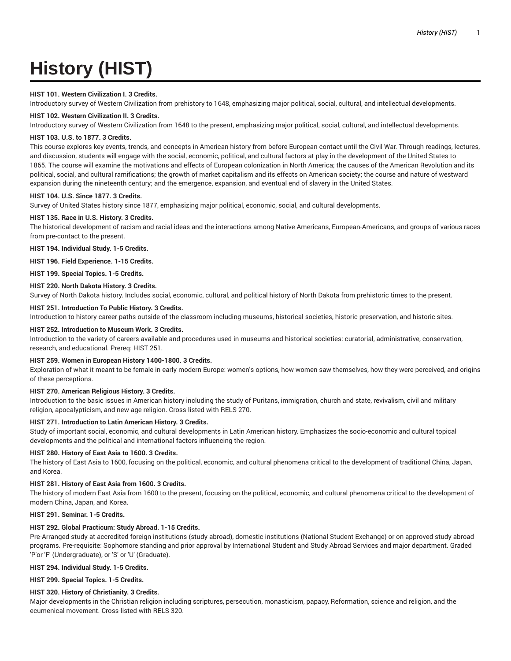# **History (HIST)**

## **HIST 101. Western Civilization I. 3 Credits.**

Introductory survey of Western Civilization from prehistory to 1648, emphasizing major political, social, cultural, and intellectual developments.

#### **HIST 102. Western Civilization II. 3 Credits.**

Introductory survey of Western Civilization from 1648 to the present, emphasizing major political, social, cultural, and intellectual developments.

#### **HIST 103. U.S. to 1877. 3 Credits.**

This course explores key events, trends, and concepts in American history from before European contact until the Civil War. Through readings, lectures, and discussion, students will engage with the social, economic, political, and cultural factors at play in the development of the United States to 1865. The course will examine the motivations and effects of European colonization in North America; the causes of the American Revolution and its political, social, and cultural ramifications; the growth of market capitalism and its effects on American society; the course and nature of westward expansion during the nineteenth century; and the emergence, expansion, and eventual end of slavery in the United States.

#### **HIST 104. U.S. Since 1877. 3 Credits.**

Survey of United States history since 1877, emphasizing major political, economic, social, and cultural developments.

#### **HIST 135. Race in U.S. History. 3 Credits.**

The historical development of racism and racial ideas and the interactions among Native Americans, European-Americans, and groups of various races from pre-contact to the present.

**HIST 194. Individual Study. 1-5 Credits.**

**HIST 196. Field Experience. 1-15 Credits.**

**HIST 199. Special Topics. 1-5 Credits.**

#### **HIST 220. North Dakota History. 3 Credits.**

Survey of North Dakota history. Includes social, economic, cultural, and political history of North Dakota from prehistoric times to the present.

#### **HIST 251. Introduction To Public History. 3 Credits.**

Introduction to history career paths outside of the classroom including museums, historical societies, historic preservation, and historic sites.

#### **HIST 252. Introduction to Museum Work. 3 Credits.**

Introduction to the variety of careers available and procedures used in museums and historical societies: curatorial, administrative, conservation, research, and educational. Prereq: HIST 251.

## **HIST 259. Women in European History 1400-1800. 3 Credits.**

Exploration of what it meant to be female in early modern Europe: women's options, how women saw themselves, how they were perceived, and origins of these perceptions.

## **HIST 270. American Religious History. 3 Credits.**

Introduction to the basic issues in American history including the study of Puritans, immigration, church and state, revivalism, civil and military religion, apocalypticism, and new age religion. Cross-listed with RELS 270.

## **HIST 271. Introduction to Latin American History. 3 Credits.**

Study of important social, economic, and cultural developments in Latin American history. Emphasizes the socio-economic and cultural topical developments and the political and international factors influencing the region.

#### **HIST 280. History of East Asia to 1600. 3 Credits.**

The history of East Asia to 1600, focusing on the political, economic, and cultural phenomena critical to the development of traditional China, Japan, and Korea.

#### **HIST 281. History of East Asia from 1600. 3 Credits.**

The history of modern East Asia from 1600 to the present, focusing on the political, economic, and cultural phenomena critical to the development of modern China, Japan, and Korea.

# **HIST 291. Seminar. 1-5 Credits.**

## **HIST 292. Global Practicum: Study Abroad. 1-15 Credits.**

Pre-Arranged study at accredited foreign institutions (study abroad), domestic institutions (National Student Exchange) or on approved study abroad programs. Pre-requisite: Sophomore standing and prior approval by International Student and Study Abroad Services and major department. Graded 'P'or 'F' (Undergraduate), or 'S' or 'U' (Graduate).

#### **HIST 294. Individual Study. 1-5 Credits.**

**HIST 299. Special Topics. 1-5 Credits.**

## **HIST 320. History of Christianity. 3 Credits.**

Major developments in the Christian religion including scriptures, persecution, monasticism, papacy, Reformation, science and religion, and the ecumenical movement. Cross-listed with RELS 320.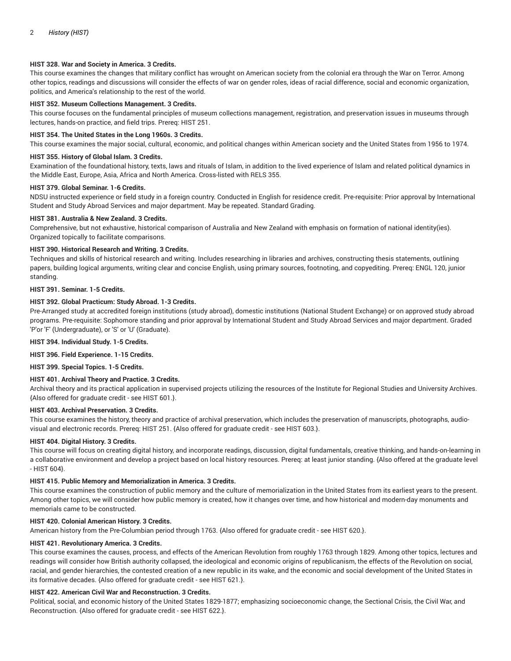## **HIST 328. War and Society in America. 3 Credits.**

This course examines the changes that military conflict has wrought on American society from the colonial era through the War on Terror. Among other topics, readings and discussions will consider the effects of war on gender roles, ideas of racial difference, social and economic organization, politics, and America's relationship to the rest of the world.

#### **HIST 352. Museum Collections Management. 3 Credits.**

This course focuses on the fundamental principles of museum collections management, registration, and preservation issues in museums through lectures, hands-on practice, and field trips. Prereq: HIST 251.

#### **HIST 354. The United States in the Long 1960s. 3 Credits.**

This course examines the major social, cultural, economic, and political changes within American society and the United States from 1956 to 1974.

#### **HIST 355. History of Global Islam. 3 Credits.**

Examination of the foundational history, texts, laws and rituals of Islam, in addition to the lived experience of Islam and related political dynamics in the Middle East, Europe, Asia, Africa and North America. Cross-listed with RELS 355.

#### **HIST 379. Global Seminar. 1-6 Credits.**

NDSU instructed experience or field study in a foreign country. Conducted in English for residence credit. Pre-requisite: Prior approval by International Student and Study Abroad Services and major department. May be repeated. Standard Grading.

#### **HIST 381. Australia & New Zealand. 3 Credits.**

Comprehensive, but not exhaustive, historical comparison of Australia and New Zealand with emphasis on formation of national identity(ies). Organized topically to facilitate comparisons.

#### **HIST 390. Historical Research and Writing. 3 Credits.**

Techniques and skills of historical research and writing. Includes researching in libraries and archives, constructing thesis statements, outlining papers, building logical arguments, writing clear and concise English, using primary sources, footnoting, and copyediting. Prereq: ENGL 120, junior standing.

## **HIST 391. Seminar. 1-5 Credits.**

#### **HIST 392. Global Practicum: Study Abroad. 1-3 Credits.**

Pre-Arranged study at accredited foreign institutions (study abroad), domestic institutions (National Student Exchange) or on approved study abroad programs. Pre-requisite: Sophomore standing and prior approval by International Student and Study Abroad Services and major department. Graded 'P'or 'F' (Undergraduate), or 'S' or 'U' (Graduate).

**HIST 394. Individual Study. 1-5 Credits.**

**HIST 396. Field Experience. 1-15 Credits.**

**HIST 399. Special Topics. 1-5 Credits.**

## **HIST 401. Archival Theory and Practice. 3 Credits.**

Archival theory and its practical application in supervised projects utilizing the resources of the Institute for Regional Studies and University Archives. {Also offered for graduate credit - see HIST 601.}.

#### **HIST 403. Archival Preservation. 3 Credits.**

This course examines the history, theory and practice of archival preservation, which includes the preservation of manuscripts, photographs, audiovisual and electronic records. Prereq: HIST 251. {Also offered for graduate credit - see HIST 603.}.

#### **HIST 404. Digital History. 3 Credits.**

This course will focus on creating digital history, and incorporate readings, discussion, digital fundamentals, creative thinking, and hands-on-learning in a collaborative environment and develop a project based on local history resources. Prereq: at least junior standing. {Also offered at the graduate level - HIST 604}.

#### **HIST 415. Public Memory and Memorialization in America. 3 Credits.**

This course examines the construction of public memory and the culture of memorialization in the United States from its earliest years to the present. Among other topics, we will consider how public memory is created, how it changes over time, and how historical and modern-day monuments and memorials came to be constructed.

## **HIST 420. Colonial American History. 3 Credits.**

American history from the Pre-Columbian period through 1763. {Also offered for graduate credit - see HIST 620.}.

## **HIST 421. Revolutionary America. 3 Credits.**

This course examines the causes, process, and effects of the American Revolution from roughly 1763 through 1829. Among other topics, lectures and readings will consider how British authority collapsed, the ideological and economic origins of republicanism, the effects of the Revolution on social, racial, and gender hierarchies, the contested creation of a new republic in its wake, and the economic and social development of the United States in its formative decades. {Also offered for graduate credit - see HIST 621.}.

#### **HIST 422. American Civil War and Reconstruction. 3 Credits.**

Political, social, and economic history of the United States 1829-1877; emphasizing socioeconomic change, the Sectional Crisis, the Civil War, and Reconstruction. {Also offered for graduate credit - see HIST 622.}.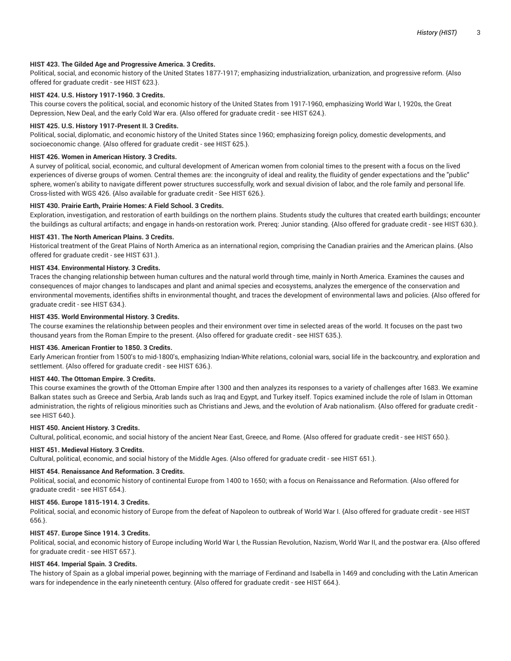## **HIST 423. The Gilded Age and Progressive America. 3 Credits.**

Political, social, and economic history of the United States 1877-1917; emphasizing industrialization, urbanization, and progressive reform. {Also offered for graduate credit - see HIST 623.}.

## **HIST 424. U.S. History 1917-1960. 3 Credits.**

This course covers the political, social, and economic history of the United States from 1917-1960, emphasizing World War I, 1920s, the Great Depression, New Deal, and the early Cold War era. {Also offered for graduate credit - see HIST 624.}.

## **HIST 425. U.S. History 1917-Present II. 3 Credits.**

Political, social, diplomatic, and economic history of the United States since 1960; emphasizing foreign policy, domestic developments, and socioeconomic change. {Also offered for graduate credit - see HIST 625.}.

## **HIST 426. Women in American History. 3 Credits.**

A survey of political, social, economic, and cultural development of American women from colonial times to the present with a focus on the lived experiences of diverse groups of women. Central themes are: the incongruity of ideal and reality, the fluidity of gender expectations and the "public" sphere, women's ability to navigate different power structures successfully, work and sexual division of labor, and the role family and personal life. Cross-listed with WGS 426. {Also available for graduate credit - See HIST 626.}.

## **HIST 430. Prairie Earth, Prairie Homes: A Field School. 3 Credits.**

Exploration, investigation, and restoration of earth buildings on the northern plains. Students study the cultures that created earth buildings; encounter the buildings as cultural artifacts; and engage in hands-on restoration work. Prereq: Junior standing. {Also offered for graduate credit - see HIST 630.}.

## **HIST 431. The North American Plains. 3 Credits.**

Historical treatment of the Great Plains of North America as an international region, comprising the Canadian prairies and the American plains. {Also offered for graduate credit - see HIST 631.}.

## **HIST 434. Environmental History. 3 Credits.**

Traces the changing relationship between human cultures and the natural world through time, mainly in North America. Examines the causes and consequences of major changes to landscapes and plant and animal species and ecosystems, analyzes the emergence of the conservation and environmental movements, identifies shifts in environmental thought, and traces the development of environmental laws and policies. {Also offered for graduate credit - see HIST 634.}.

## **HIST 435. World Environmental History. 3 Credits.**

The course examines the relationship between peoples and their environment over time in selected areas of the world. It focuses on the past two thousand years from the Roman Empire to the present. {Also offered for graduate credit - see HIST 635.}.

## **HIST 436. American Frontier to 1850. 3 Credits.**

Early American frontier from 1500's to mid-1800's, emphasizing Indian-White relations, colonial wars, social life in the backcountry, and exploration and settlement. {Also offered for graduate credit - see HIST 636.}.

## **HIST 440. The Ottoman Empire. 3 Credits.**

This course examines the growth of the Ottoman Empire after 1300 and then analyzes its responses to a variety of challenges after 1683. We examine Balkan states such as Greece and Serbia, Arab lands such as Iraq and Egypt, and Turkey itself. Topics examined include the role of Islam in Ottoman administration, the rights of religious minorities such as Christians and Jews, and the evolution of Arab nationalism. {Also offered for graduate credit see HIST 640.}.

## **HIST 450. Ancient History. 3 Credits.**

Cultural, political, economic, and social history of the ancient Near East, Greece, and Rome. {Also offered for graduate credit - see HIST 650.}.

## **HIST 451. Medieval History. 3 Credits.**

Cultural, political, economic, and social history of the Middle Ages. {Also offered for graduate credit - see HIST 651.}.

## **HIST 454. Renaissance And Reformation. 3 Credits.**

Political, social, and economic history of continental Europe from 1400 to 1650; with a focus on Renaissance and Reformation. {Also offered for graduate credit - see HIST 654.}.

## **HIST 456. Europe 1815-1914. 3 Credits.**

Political, social, and economic history of Europe from the defeat of Napoleon to outbreak of World War I. {Also offered for graduate credit - see HIST 656.}.

## **HIST 457. Europe Since 1914. 3 Credits.**

Political, social, and economic history of Europe including World War I, the Russian Revolution, Nazism, World War II, and the postwar era. {Also offered for graduate credit - see HIST 657.}.

# **HIST 464. Imperial Spain. 3 Credits.**

The history of Spain as a global imperial power, beginning with the marriage of Ferdinand and Isabella in 1469 and concluding with the Latin American wars for independence in the early nineteenth century. {Also offered for graduate credit - see HIST 664.}.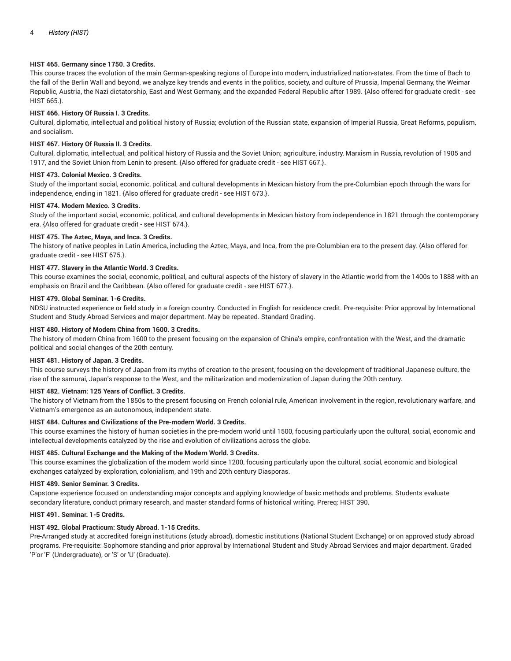# **HIST 465. Germany since 1750. 3 Credits.**

This course traces the evolution of the main German-speaking regions of Europe into modern, industrialized nation-states. From the time of Bach to the fall of the Berlin Wall and beyond, we analyze key trends and events in the politics, society, and culture of Prussia, Imperial Germany, the Weimar Republic, Austria, the Nazi dictatorship, East and West Germany, and the expanded Federal Republic after 1989. {Also offered for graduate credit - see HIST 665.}.

# **HIST 466. History Of Russia I. 3 Credits.**

Cultural, diplomatic, intellectual and political history of Russia; evolution of the Russian state, expansion of Imperial Russia, Great Reforms, populism, and socialism.

## **HIST 467. History Of Russia II. 3 Credits.**

Cultural, diplomatic, intellectual, and political history of Russia and the Soviet Union; agriculture, industry, Marxism in Russia, revolution of 1905 and 1917, and the Soviet Union from Lenin to present. {Also offered for graduate credit - see HIST 667.}.

## **HIST 473. Colonial Mexico. 3 Credits.**

Study of the important social, economic, political, and cultural developments in Mexican history from the pre-Columbian epoch through the wars for independence, ending in 1821. {Also offered for graduate credit - see HIST 673.}.

#### **HIST 474. Modern Mexico. 3 Credits.**

Study of the important social, economic, political, and cultural developments in Mexican history from independence in 1821 through the contemporary era. {Also offered for graduate credit - see HIST 674.}.

## **HIST 475. The Aztec, Maya, and Inca. 3 Credits.**

The history of native peoples in Latin America, including the Aztec, Maya, and Inca, from the pre-Columbian era to the present day. {Also offered for graduate credit - see HIST 675.}.

## **HIST 477. Slavery in the Atlantic World. 3 Credits.**

This course examines the social, economic, political, and cultural aspects of the history of slavery in the Atlantic world from the 1400s to 1888 with an emphasis on Brazil and the Caribbean. {Also offered for graduate credit - see HIST 677.}.

#### **HIST 479. Global Seminar. 1-6 Credits.**

NDSU instructed experience or field study in a foreign country. Conducted in English for residence credit. Pre-requisite: Prior approval by International Student and Study Abroad Services and major department. May be repeated. Standard Grading.

#### **HIST 480. History of Modern China from 1600. 3 Credits.**

The history of modern China from 1600 to the present focusing on the expansion of China's empire, confrontation with the West, and the dramatic political and social changes of the 20th century.

## **HIST 481. History of Japan. 3 Credits.**

This course surveys the history of Japan from its myths of creation to the present, focusing on the development of traditional Japanese culture, the rise of the samurai, Japan's response to the West, and the militarization and modernization of Japan during the 20th century.

## **HIST 482. Vietnam: 125 Years of Conflict. 3 Credits.**

The history of Vietnam from the 1850s to the present focusing on French colonial rule, American involvement in the region, revolutionary warfare, and Vietnam's emergence as an autonomous, independent state.

## **HIST 484. Cultures and Civilizations of the Pre-modern World. 3 Credits.**

This course examines the history of human societies in the pre-modern world until 1500, focusing particularly upon the cultural, social, economic and intellectual developments catalyzed by the rise and evolution of civilizations across the globe.

## **HIST 485. Cultural Exchange and the Making of the Modern World. 3 Credits.**

This course examines the globalization of the modern world since 1200, focusing particularly upon the cultural, social, economic and biological exchanges catalyzed by exploration, colonialism, and 19th and 20th century Diasporas.

## **HIST 489. Senior Seminar. 3 Credits.**

Capstone experience focused on understanding major concepts and applying knowledge of basic methods and problems. Students evaluate secondary literature, conduct primary research, and master standard forms of historical writing. Prereq: HIST 390.

#### **HIST 491. Seminar. 1-5 Credits.**

# **HIST 492. Global Practicum: Study Abroad. 1-15 Credits.**

Pre-Arranged study at accredited foreign institutions (study abroad), domestic institutions (National Student Exchange) or on approved study abroad programs. Pre-requisite: Sophomore standing and prior approval by International Student and Study Abroad Services and major department. Graded 'P'or 'F' (Undergraduate), or 'S' or 'U' (Graduate).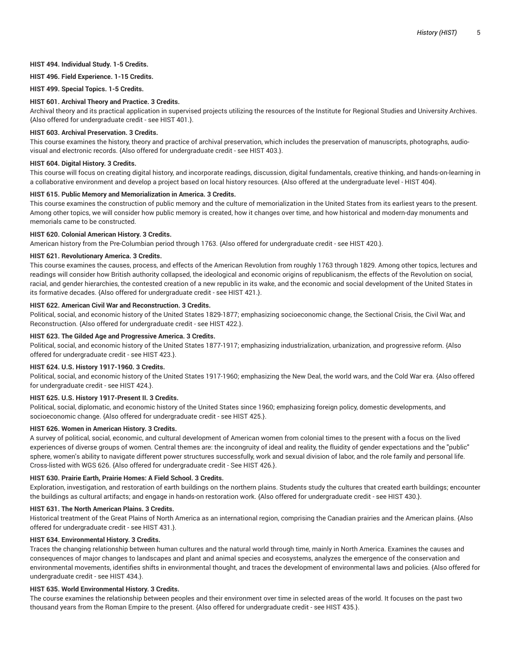#### **HIST 494. Individual Study. 1-5 Credits.**

#### **HIST 496. Field Experience. 1-15 Credits.**

**HIST 499. Special Topics. 1-5 Credits.**

#### **HIST 601. Archival Theory and Practice. 3 Credits.**

Archival theory and its practical application in supervised projects utilizing the resources of the Institute for Regional Studies and University Archives. {Also offered for undergraduate credit - see HIST 401.}.

# **HIST 603. Archival Preservation. 3 Credits.**

This course examines the history, theory and practice of archival preservation, which includes the preservation of manuscripts, photographs, audiovisual and electronic records. {Also offered for undergraduate credit - see HIST 403.}.

#### **HIST 604. Digital History. 3 Credits.**

This course will focus on creating digital history, and incorporate readings, discussion, digital fundamentals, creative thinking, and hands-on-learning in a collaborative environment and develop a project based on local history resources. {Also offered at the undergraduate level - HIST 404}.

#### **HIST 615. Public Memory and Memorialization in America. 3 Credits.**

This course examines the construction of public memory and the culture of memorialization in the United States from its earliest years to the present. Among other topics, we will consider how public memory is created, how it changes over time, and how historical and modern-day monuments and memorials came to be constructed.

#### **HIST 620. Colonial American History. 3 Credits.**

American history from the Pre-Columbian period through 1763. {Also offered for undergraduate credit - see HIST 420.}.

## **HIST 621. Revolutionary America. 3 Credits.**

This course examines the causes, process, and effects of the American Revolution from roughly 1763 through 1829. Among other topics, lectures and readings will consider how British authority collapsed, the ideological and economic origins of republicanism, the effects of the Revolution on social, racial, and gender hierarchies, the contested creation of a new republic in its wake, and the economic and social development of the United States in its formative decades. {Also offered for undergraduate credit - see HIST 421.}.

#### **HIST 622. American Civil War and Reconstruction. 3 Credits.**

Political, social, and economic history of the United States 1829-1877; emphasizing socioeconomic change, the Sectional Crisis, the Civil War, and Reconstruction. {Also offered for undergraduate credit - see HIST 422.}.

## **HIST 623. The Gilded Age and Progressive America. 3 Credits.**

Political, social, and economic history of the United States 1877-1917; emphasizing industrialization, urbanization, and progressive reform. {Also offered for undergraduate credit - see HIST 423.}.

#### **HIST 624. U.S. History 1917-1960. 3 Credits.**

Political, social, and economic history of the United States 1917-1960; emphasizing the New Deal, the world wars, and the Cold War era. {Also offered for undergraduate credit - see HIST 424.}.

# **HIST 625. U.S. History 1917-Present II. 3 Credits.**

Political, social, diplomatic, and economic history of the United States since 1960; emphasizing foreign policy, domestic developments, and socioeconomic change. {Also offered for undergraduate credit - see HIST 425.}.

## **HIST 626. Women in American History. 3 Credits.**

A survey of political, social, economic, and cultural development of American women from colonial times to the present with a focus on the lived experiences of diverse groups of women. Central themes are: the incongruity of ideal and reality, the fluidity of gender expectations and the "public" sphere, women's ability to navigate different power structures successfully, work and sexual division of labor, and the role family and personal life. Cross-listed with WGS 626. {Also offered for undergraduate credit - See HIST 426.}.

#### **HIST 630. Prairie Earth, Prairie Homes: A Field School. 3 Credits.**

Exploration, investigation, and restoration of earth buildings on the northern plains. Students study the cultures that created earth buildings; encounter the buildings as cultural artifacts; and engage in hands-on restoration work. {Also offered for undergraduate credit - see HIST 430.}.

#### **HIST 631. The North American Plains. 3 Credits.**

Historical treatment of the Great Plains of North America as an international region, comprising the Canadian prairies and the American plains. {Also offered for undergraduate credit - see HIST 431.}.

#### **HIST 634. Environmental History. 3 Credits.**

Traces the changing relationship between human cultures and the natural world through time, mainly in North America. Examines the causes and consequences of major changes to landscapes and plant and animal species and ecosystems, analyzes the emergence of the conservation and environmental movements, identifies shifts in environmental thought, and traces the development of environmental laws and policies. {Also offered for undergraduate credit - see HIST 434.}.

#### **HIST 635. World Environmental History. 3 Credits.**

The course examines the relationship between peoples and their environment over time in selected areas of the world. It focuses on the past two thousand years from the Roman Empire to the present. {Also offered for undergraduate credit - see HIST 435.}.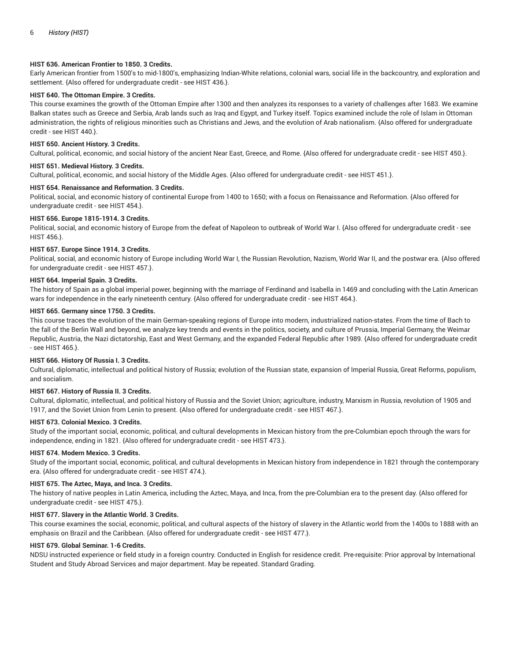## **HIST 636. American Frontier to 1850. 3 Credits.**

Early American frontier from 1500's to mid-1800's, emphasizing Indian-White relations, colonial wars, social life in the backcountry, and exploration and settlement. {Also offered for undergraduate credit - see HIST 436.}.

# **HIST 640. The Ottoman Empire. 3 Credits.**

This course examines the growth of the Ottoman Empire after 1300 and then analyzes its responses to a variety of challenges after 1683. We examine Balkan states such as Greece and Serbia, Arab lands such as Iraq and Egypt, and Turkey itself. Topics examined include the role of Islam in Ottoman administration, the rights of religious minorities such as Christians and Jews, and the evolution of Arab nationalism. {Also offered for undergraduate credit - see HIST 440.}.

#### **HIST 650. Ancient History. 3 Credits.**

Cultural, political, economic, and social history of the ancient Near East, Greece, and Rome. {Also offered for undergraduate credit - see HIST 450.}.

#### **HIST 651. Medieval History. 3 Credits.**

Cultural, political, economic, and social history of the Middle Ages. {Also offered for undergraduate credit - see HIST 451.}.

# **HIST 654. Renaissance and Reformation. 3 Credits.**

Political, social, and economic history of continental Europe from 1400 to 1650; with a focus on Renaissance and Reformation. {Also offered for undergraduate credit - see HIST 454.}.

#### **HIST 656. Europe 1815-1914. 3 Credits.**

Political, social, and economic history of Europe from the defeat of Napoleon to outbreak of World War I. {Also offered for undergraduate credit - see HIST 456.}.

#### **HIST 657. Europe Since 1914. 3 Credits.**

Political, social, and economic history of Europe including World War I, the Russian Revolution, Nazism, World War II, and the postwar era. {Also offered for undergraduate credit - see HIST 457.}.

#### **HIST 664. Imperial Spain. 3 Credits.**

The history of Spain as a global imperial power, beginning with the marriage of Ferdinand and Isabella in 1469 and concluding with the Latin American wars for independence in the early nineteenth century. {Also offered for undergraduate credit - see HIST 464.}.

# **HIST 665. Germany since 1750. 3 Credits.**

This course traces the evolution of the main German-speaking regions of Europe into modern, industrialized nation-states. From the time of Bach to the fall of the Berlin Wall and beyond, we analyze key trends and events in the politics, society, and culture of Prussia, Imperial Germany, the Weimar Republic, Austria, the Nazi dictatorship, East and West Germany, and the expanded Federal Republic after 1989. {Also offered for undergraduate credit - see HIST 465.}.

## **HIST 666. History Of Russia I. 3 Credits.**

Cultural, diplomatic, intellectual and political history of Russia; evolution of the Russian state, expansion of Imperial Russia, Great Reforms, populism, and socialism.

## **HIST 667. History of Russia II. 3 Credits.**

Cultural, diplomatic, intellectual, and political history of Russia and the Soviet Union; agriculture, industry, Marxism in Russia, revolution of 1905 and 1917, and the Soviet Union from Lenin to present. {Also offered for undergraduate credit - see HIST 467.}.

#### **HIST 673. Colonial Mexico. 3 Credits.**

Study of the important social, economic, political, and cultural developments in Mexican history from the pre-Columbian epoch through the wars for independence, ending in 1821. {Also offered for undergraduate credit - see HIST 473.}.

#### **HIST 674. Modern Mexico. 3 Credits.**

Study of the important social, economic, political, and cultural developments in Mexican history from independence in 1821 through the contemporary era. {Also offered for undergraduate credit - see HIST 474.}.

#### **HIST 675. The Aztec, Maya, and Inca. 3 Credits.**

The history of native peoples in Latin America, including the Aztec, Maya, and Inca, from the pre-Columbian era to the present day. {Also offered for undergraduate credit - see HIST 475.}.

## **HIST 677. Slavery in the Atlantic World. 3 Credits.**

This course examines the social, economic, political, and cultural aspects of the history of slavery in the Atlantic world from the 1400s to 1888 with an emphasis on Brazil and the Caribbean. {Also offered for undergraduate credit - see HIST 477.}.

#### **HIST 679. Global Seminar. 1-6 Credits.**

NDSU instructed experience or field study in a foreign country. Conducted in English for residence credit. Pre-requisite: Prior approval by International Student and Study Abroad Services and major department. May be repeated. Standard Grading.